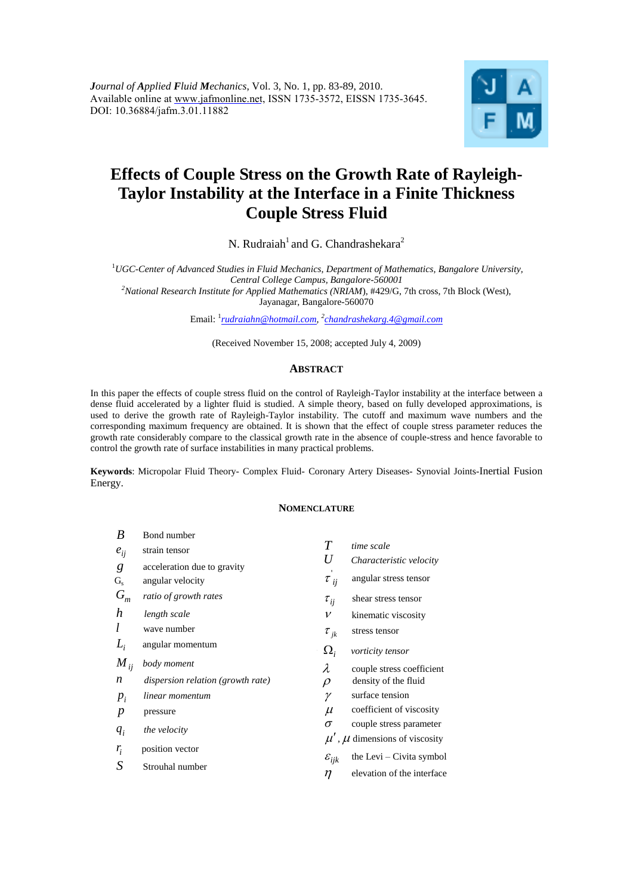

# **Effects of Couple Stress on the Growth Rate of Rayleigh-Taylor Instability at the Interface in a Finite Thickness Couple Stress Fluid**

N. Rudraiah<sup>1</sup> and G. Chandrashekara<sup>2</sup>

<sup>1</sup>*UGC-Center of Advanced Studies in Fluid Mechanics, Department of Mathematics, Bangalore University, Central College Campus, Bangalore-560001 <sup>2</sup>National Research Institute for Applied Mathematics (NRIAM*), #429/G, 7th cross, 7th Block (West),

Jayanagar, Bangalore-560070

Email: <sup>1</sup> *[rudraiahn@hotmail.com,](mailto:rudraiahn@hotmail.com) 2 [chandrashekarg.4@gmail.com](mailto:chandrashekarg.4@gmail.com)*

(Received November 15, 2008; accepted July 4, 2009)

# **ABSTRACT**

In this paper the effects of couple stress fluid on the control of Rayleigh-Taylor instability at the interface between a dense fluid accelerated by a lighter fluid is studied. A simple theory, based on fully developed approximations, is used to derive the growth rate of Rayleigh-Taylor instability. The cutoff and maximum wave numbers and the corresponding maximum frequency are obtained. It is shown that the effect of couple stress parameter reduces the growth rate considerably compare to the classical growth rate in the absence of couple-stress and hence favorable to control the growth rate of surface instabilities in many practical problems.

**Keywords**: Micropolar Fluid Theory- Complex Fluid- Coronary Artery Diseases- Synovial Joints-Inertial Fusion Energy.

# **NOMENCLATURE**

| B        | Bond number                       |                                |                                        |
|----------|-----------------------------------|--------------------------------|----------------------------------------|
| $e_{ij}$ | strain tensor                     | $\overline{T}$                 | time scale                             |
| g        | acceleration due to gravity       | U                              | Characteristic velocity                |
| $G_{s}$  | angular velocity                  | $\tau$ <sub>ij</sub>           | angular stress tensor                  |
| $G_m$    | ratio of growth rates             | $\tau_{ij}$                    | shear stress tensor                    |
| h        | length scale                      | v                              | kinematic viscosity                    |
|          | wave number                       | $\tau_{\scriptscriptstyle jk}$ | stress tensor                          |
| $L_i$    | angular momentum                  | $\Omega_i$                     | vorticity tensor                       |
| $M_{ij}$ | body moment                       | λ                              | couple stress coefficient              |
| n        | dispersion relation (growth rate) | $\varrho$                      | density of the fluid                   |
| $p_i$    | linear momentum                   | γ                              | surface tension                        |
| p        | pressure                          | $\mu$                          | coefficient of viscosity               |
| $q_i$    | the velocity                      | σ                              | couple stress parameter                |
|          |                                   |                                | $\mu'$ , $\mu$ dimensions of viscosity |
| $r_i$    | position vector                   | $\varepsilon_{ijk}$            | the Levi $-$ Civita symbol             |
| S        | Strouhal number                   | η                              | elevation of the interface             |
|          |                                   |                                |                                        |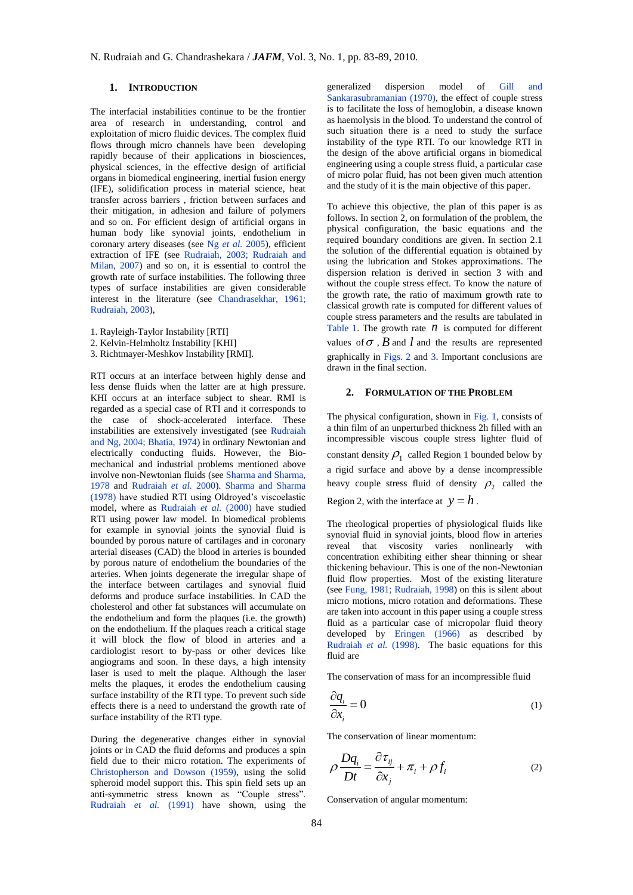# **1. INTRODUCTION**

The interfacial instabilities continue to be the frontier area of research in understanding, control and exploitation of micro fluidic devices. The complex fluid flows through micro channels have been developing rapidly because of their applications in biosciences, physical sciences, in the effective design of artificial organs in biomedical engineering, inertial fusion energy (IFE), solidification process in material science, heat transfer across barriers , friction between surfaces and their mitigation, in adhesion and failure of polymers and so on. For efficient design of artificial organs in human body like synovial joints, endothelium in coronary artery diseases (see Ng *et al.* 2005), efficient extraction of IFE (see Rudraiah, 2003; Rudraiah and Milan, 2007) and so on, it is essential to control the growth rate of surface instabilities. The following three types of surface instabilities are given considerable interest in the literature (see Chandrasekhar, 1961; Rudraiah, 2003),

- 1. Rayleigh-Taylor Instability [RTI]
- 2. Kelvin-Helmholtz Instability [KHI]
- 3. Richtmayer-Meshkov Instability [RMI].

RTI occurs at an interface between highly dense and less dense fluids when the latter are at high pressure. KHI occurs at an interface subject to shear. RMI is regarded as a special case of RTI and it corresponds to the case of shock-accelerated interface. These instabilities are extensively investigated (see Rudraiah and Ng, 2004; Bhatia, 1974) in ordinary Newtonian and electrically conducting fluids. However, the Biomechanical and industrial problems mentioned above involve non-Newtonian fluids (see Sharma and Sharma, 1978 and Rudraiah *et al.* 2000). Sharma and Sharma (1978) have studied RTI using Oldroyed's viscoelastic model, where as Rudraiah *et al.* (2000) have studied RTI using power law model. In biomedical problems for example in synovial joints the synovial fluid is bounded by porous nature of cartilages and in coronary arterial diseases (CAD) the blood in arteries is bounded by porous nature of endothelium the boundaries of the arteries. When joints degenerate the irregular shape of the interface between cartilages and synovial fluid deforms and produce surface instabilities. In CAD the cholesterol and other fat substances will accumulate on the endothelium and form the plaques (i.e. the growth) on the endothelium. If the plaques reach a critical stage it will block the flow of blood in arteries and a cardiologist resort to by-pass or other devices like angiograms and soon. In these days, a high intensity laser is used to melt the plaque. Although the laser melts the plaques, it erodes the endothelium causing surface instability of the RTI type. To prevent such side effects there is a need to understand the growth rate of surface instability of the RTI type.

During the degenerative changes either in synovial joints or in CAD the fluid deforms and produces a spin field due to their micro rotation. The experiments of Christopherson and Dowson (1959), using the solid spheroid model support this. This spin field sets up an anti-symmetric stress known as "Couple stress". Rudraiah *et al.* (1991) have shown, using the

generalized dispersion model of Gill and Sankarasubramanian (1970), the effect of couple stress is to facilitate the loss of hemoglobin, a disease known as haemolysis in the blood. To understand the control of such situation there is a need to study the surface instability of the type RTI. To our knowledge RTI in the design of the above artificial organs in biomedical engineering using a couple stress fluid, a particular case of micro polar fluid, has not been given much attention and the study of it is the main objective of this paper.

To achieve this objective, the plan of this paper is as follows. In section 2, on formulation of the problem, the physical configuration, the basic equations and the required boundary conditions are given. In section 2.1 the solution of the differential equation is obtained by using the lubrication and Stokes approximations. The dispersion relation is derived in section 3 with and without the couple stress effect. To know the nature of the growth rate, the ratio of maximum growth rate to classical growth rate is computed for different values of couple stress parameters and the results are tabulated in Table 1. The growth rate  $n$  is computed for different values of  $\sigma$ ,  $B$  and  $l$  and the results are represented graphically in Figs. 2 and 3. Important conclusions are drawn in the final section.

## **2. FORMULATION OF THE PROBLEM**

The physical configuration, shown in Fig. 1, consists of a thin film of an unperturbed thickness 2h filled with an incompressible viscous couple stress lighter fluid of constant density  $\rho_1$  called Region 1 bounded below by a rigid surface and above by a dense incompressible heavy couple stress fluid of density  $\rho_2$  called the Region 2, with the interface at  $y = h$ .

The rheological properties of physiological fluids like synovial fluid in synovial joints, blood flow in arteries reveal that viscosity varies nonlinearly with concentration exhibiting either shear thinning or shear thickening behaviour. This is one of the non-Newtonian fluid flow properties. Most of the existing literature (see Fung, 1981; Rudraiah, 1998) on this is silent about micro motions, micro rotation and deformations. These are taken into account in this paper using a couple stress fluid as a particular case of micropolar fluid theory developed by Eringen (1966) as described by Rudraiah *et al.* (1998). The basic equations for this fluid are

The conservation of mass for an incompressible fluid

$$
\frac{\partial q_i}{\partial x_i} = 0 \tag{1}
$$

The conservation of linear momentum:

$$
\rho \frac{Dq_i}{Dt} = \frac{\partial \tau_{ij}}{\partial x_j} + \pi_i + \rho f_i \tag{2}
$$

Conservation of angular momentum: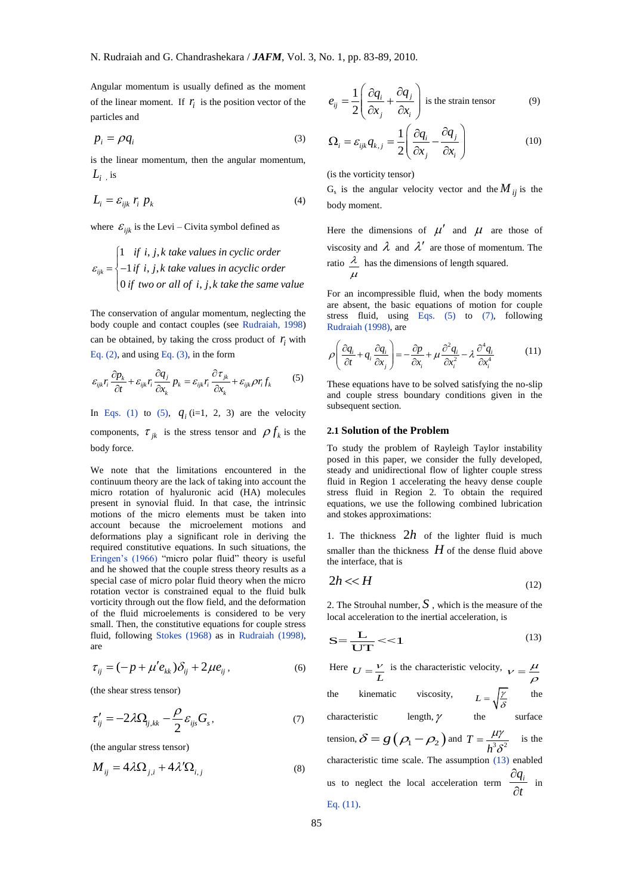Angular momentum is usually defined as the moment of the linear moment. If  $r_i$  is the position vector of the particles and

$$
p_i = \rho q_i \tag{3}
$$

is the linear momentum, then the angular momentum,  $L_i$ , is

$$
L_i = \varepsilon_{ijk} r_i p_k \tag{4}
$$

where 
$$
\varepsilon_{ijk}
$$
 is the Levi – Civita symbol defined as  
\n
$$
\varepsilon_{ijk} = \begin{cases}\n1 & \text{if } i, j, k \text{ take values in cyclic order} \\
-1 & \text{if } i, j, k \text{ take values in acyclic order} \\
0 & \text{if two or all of } i, j, k \text{ take the same value}\n\end{cases}
$$

The conservation of angular momentum, neglecting the body couple and contact couples (see Rudraiah, 1998) can be obtained, by taking the cross product of  $r_i$  with

Eq. (2), and using Eq. (3), in the form  
\n
$$
\varepsilon_{ijk} r_i \frac{\partial p_k}{\partial t} + \varepsilon_{ijk} r_i \frac{\partial q_j}{\partial x_k} p_k = \varepsilon_{ijk} r_i \frac{\partial r_{jk}}{\partial x_k} + \varepsilon_{ijk} \rho r_i f_k
$$
\n(5)

In Eqs. (1) to (5),  $q_i$  (i=1, 2, 3) are the velocity components,  $\tau_{jk}$  is the stress tensor and  $\rho f_k$  is the body force.

We note that the limitations encountered in the continuum theory are the lack of taking into account the micro rotation of hyaluronic acid (HA) molecules present in synovial fluid. In that case, the intrinsic motions of the micro elements must be taken into account because the microelement motions and deformations play a significant role in deriving the required constitutive equations. In such situations, the Eringen's (1966) "micro polar fluid" theory is useful and he showed that the couple stress theory results as a special case of micro polar fluid theory when the micro rotation vector is constrained equal to the fluid bulk vorticity through out the flow field, and the deformation of the fluid microelements is considered to be very small. Then, the constitutive equations for couple stress fluid, following Stokes (1968) as in Rudraiah (1998), are

$$
\tau_{ij} = (-p + \mu' e_{kk}) \delta_{ij} + 2\mu e_{ij},
$$
\n(6)

(the shear stress tensor)

$$
\tau'_{ij} = -2\lambda \Omega_{ij,kk} - \frac{\rho}{2} \varepsilon_{ijs} G_s, \qquad (7)
$$

(the angular stress tensor)

$$
M_{ij} = 4\lambda \Omega_{j,i} + 4\lambda' \Omega_{i,j}
$$
 (8)

$$
e_{ij} = \frac{1}{2} \left( \frac{\partial q_i}{\partial x_j} + \frac{\partial q_j}{\partial x_i} \right)
$$
 is the strain tensor (9)

$$
\Omega_i = \varepsilon_{ijk} q_{k,j} = \frac{1}{2} \left( \frac{\partial q_i}{\partial x_j} - \frac{\partial q_j}{\partial x_i} \right)
$$
(10)

(is the vorticity tensor)

 $G_s$  is the angular velocity vector and the  $M_{ij}$  is the body moment.

Here the dimensions of  $\mu'$  and  $\mu$  are those of viscosity and  $\lambda$  and  $\lambda'$  are those of momentum. The ratio  $\frac{\lambda}{\lambda}$  $\mu$ has the dimensions of length squared.

For an incompressible fluid, when the body moments are absent, the basic equations of motion for couple stress fluid, using Eqs. (5) to (7), following Rudraiah (1998), are

$$
\rho \left( \frac{\partial q_i}{\partial t} + q_i \frac{\partial q_i}{\partial x_j} \right) = -\frac{\partial p}{\partial x_i} + \mu \frac{\partial^2 q_i}{\partial x_i^2} - \lambda \frac{\partial^4 q_i}{\partial x_i^4}
$$
(11)

These equations have to be solved satisfying the no-slip and couple stress boundary conditions given in the subsequent section.

#### **2.1 Solution of the Problem**

To study the problem of Rayleigh Taylor instability posed in this paper, we consider the fully developed, steady and unidirectional flow of lighter couple stress fluid in Region 1 accelerating the heavy dense couple stress fluid in Region 2. To obtain the required equations, we use the following combined lubrication and stokes approximations:

1. The thickness  $2h$  of the lighter fluid is much smaller than the thickness  $H$  of the dense fluid above the interface, that is

$$
2h \ll H \tag{12}
$$

2. The Strouhal number,  $S$ , which is the measure of the local acceleration to the inertial acceleration, is

$$
S = \frac{L}{UT} << 1
$$
 (13)

Here  $U = \frac{V}{L}$  is the characteristic velocity,  $V = \frac{\mu}{\rho}$ the kinematic viscosity,  $L = \sqrt{\frac{\gamma}{c}}$  $=\sqrt{\frac{\gamma}{\delta}}$  the characteristic length,  $\gamma$  the surface tension,  $\delta = g(\rho_1 - \rho_2)$  and  $T = \frac{\mu \gamma}{h^3 \delta^2}$  $\mu\gamma$  $=\frac{\mu}{h^3 \delta^2}$  is the characteristic time scale. The assumption (13) enabled us to neglect the local acceleration term  $\frac{\partial q_i}{\partial q_j}$ *t*  $\partial$  $\frac{\partial u}{\partial t}$  in Eq. (11).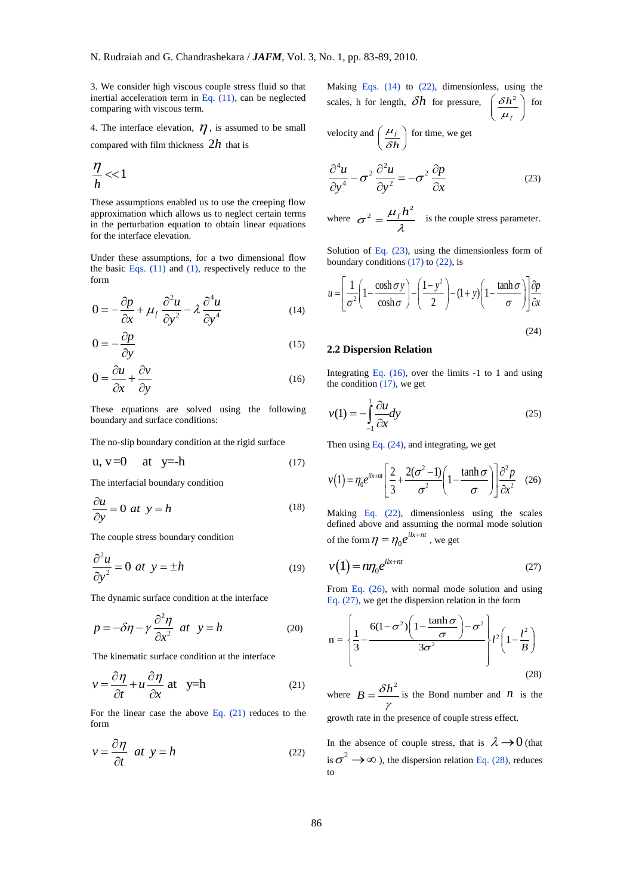3. We consider high viscous couple stress fluid so that inertial acceleration term in Eq.  $(11)$ , can be neglected comparing with viscous term.

4. The interface elevation,  $\eta$ , is assumed to be small compared with film thickness 2*h* that is

$$
\frac{\eta}{h} < 1
$$

These assumptions enabled us to use the creeping flow approximation which allows us to neglect certain terms in the perturbation equation to obtain linear equations for the interface elevation.

Under these assumptions, for a two dimensional flow the basic Eqs.  $(11)$  and  $(1)$ , respectively reduce to the form

$$
0 = -\frac{\partial p}{\partial x} + \mu_f \frac{\partial^2 u}{\partial y^2} - \lambda \frac{\partial^4 u}{\partial y^4}
$$
 (14)

$$
0 = -\frac{\partial p}{\partial y} \tag{15}
$$

$$
0 = \frac{\partial u}{\partial x} + \frac{\partial v}{\partial y} \tag{16}
$$

These equations are solved using the following boundary and surface conditions:

The no-slip boundary condition at the rigid surface

$$
u, v=0 \quad at \quad y=-h \tag{17}
$$

The interfacial boundary condition

$$
\frac{\partial u}{\partial y} = 0 \text{ at } y = h \tag{18}
$$

The couple stress boundary condition

$$
\frac{\partial^2 u}{\partial y^2} = 0 \text{ at } y = \pm h \tag{19}
$$

The dynamic surface condition at the interface

$$
p = -\delta \eta - \gamma \frac{\partial^2 \eta}{\partial x^2} \quad at \quad y = h \tag{20}
$$

The kinematic surface condition at the interface

$$
v = \frac{\partial \eta}{\partial t} + u \frac{\partial \eta}{\partial x} \text{ at } y=h
$$
 (21)

For the linear case the above Eq. (21) reduces to the form

$$
v = \frac{\partial \eta}{\partial t} \quad at \quad y = h \tag{22}
$$

Making Eqs. (14) to (22), dimensionless, using the scales, h for length,  $\delta h$  for pressure,  $\left(\frac{\delta h^2}{\mu_f}\right)$  for *f*  $\mu$ 

velocity and  $\left(\frac{\mu_f}{\delta h}\right)$  $\mu$  $\left(\frac{\mu_f}{\delta h}\right)$  for time, we get

$$
\frac{\partial^4 u}{\partial y^4} - \sigma^2 \frac{\partial^2 u}{\partial y^2} = -\sigma^2 \frac{\partial p}{\partial x}
$$
 (23)

where 
$$
\sigma^2 = \frac{\mu_f h^2}{\lambda}
$$
 is the couple stress parameter.

Solution of Eq.  $(23)$ , using the dimensionless form of

boundary conditions (17) to (22), is  
\n
$$
u = \left[\frac{1}{\sigma^2} \left(1 - \frac{\cosh \sigma y}{\cosh \sigma}\right) - \left(\frac{1 - y^2}{2}\right) - (1 + y)\left(1 - \frac{\tanh \sigma}{\sigma}\right)\right] \frac{\partial p}{\partial x}
$$
\n(24)

#### **2.2 Dispersion Relation**

Integrating Eq.  $(16)$ , over the limits  $-1$  to 1 and using the condition  $(17)$ , we get

$$
v(1) = -\int_{-1}^{1} \frac{\partial u}{\partial x} dy
$$
 (25)

Then using Eq. (24), and integrating, we get

$$
v(1) = \eta_0 e^{ikx + m} \left[ \frac{2}{3} + \frac{2(\sigma^2 - 1)}{\sigma^2} \left( 1 - \frac{\tanh \sigma}{\sigma} \right) \right] \frac{\partial^2 p}{\partial x^2} \quad (26)
$$

Making Eq. (22), dimensionless using the scales defined above and assuming the normal mode solution of the form  $\eta = \eta_0 e^{ikx + nt}$ , we get

$$
v(1) = n\eta_0 e^{ik+nt} \tag{27}
$$

From Eq. (26), with normal mode solution and using

Eq. (27), we get the dispersion relation in the form  
\n
$$
n = \left\{\frac{1}{3} - \frac{6(1 - \sigma^2)\left(1 - \frac{\tanh \sigma}{\sigma}\right) - \sigma^2}{3\sigma^2}\right\} l^2 \left(1 - \frac{l^2}{B}\right)
$$
\n(28)

where  $B = \frac{\delta h^2}{2}$ γ  $=$   $\frac{\partial h}{\partial n}$  is the Bond number and *n* is the

growth rate in the presence of couple stress effect.

In the absence of couple stress, that is  $\lambda \rightarrow 0$  (that is  $\sigma^2 \to \infty$ ), the dispersion relation Eq. (28), reduces to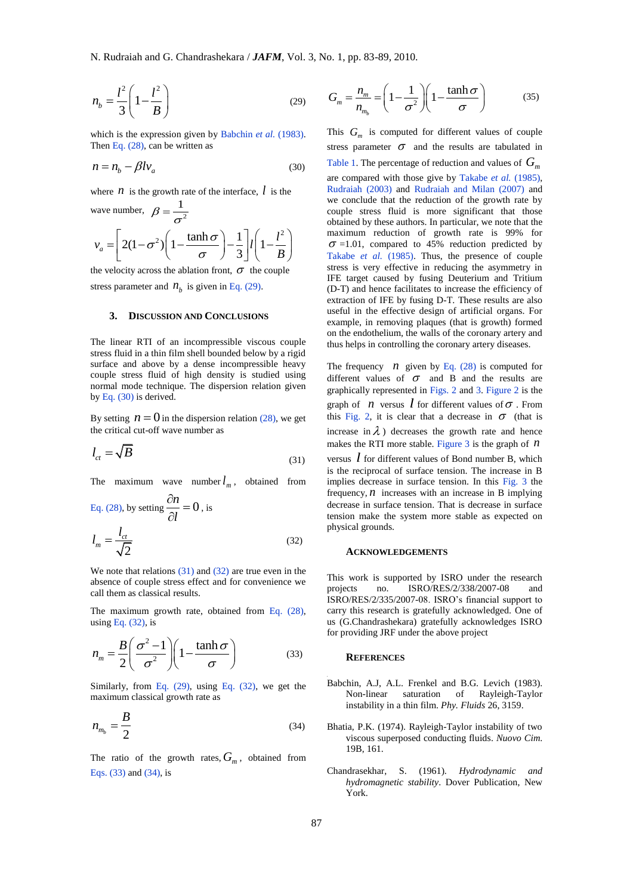$$
n_b = \frac{l^2}{3} \left( 1 - \frac{l^2}{B} \right) \tag{29}
$$

which is the expression given by Babchin *et al.* (1983). Then Eq. (28), can be written as

$$
n = n_b - \beta l v_a \tag{30}
$$

where  $n$  is the growth rate of the interface,  $l$  is the

wave number, 
$$
\beta = \frac{1}{\sigma^2}
$$
  

$$
v_a = \left[2(1-\sigma^2)\left(1-\frac{\tanh \sigma}{\sigma}\right)-\frac{1}{3}\right]l\left(1-\frac{l^2}{B}\right)
$$

the velocity across the ablation front,  $\sigma$  the couple stress parameter and  $n_b$  is given in Eq. (29).

#### **3. DISCUSSION AND CONCLUSIONS**

The linear RTI of an incompressible viscous couple stress fluid in a thin film shell bounded below by a rigid surface and above by a dense incompressible heavy couple stress fluid of high density is studied using normal mode technique. The dispersion relation given by Eq. (30) is derived.

By setting  $n = 0$  in the dispersion relation (28), we get the critical cut-off wave number as

$$
l_{ct} = \sqrt{B} \tag{31}
$$

The maximum wave number  $l_m$ , obtained from

Eq. (28), by setting 
$$
\frac{\partial n}{\partial l} = 0
$$
, is  

$$
l_m = \frac{l_{ct}}{\sqrt{2}}
$$
(32)

We note that relations  $(31)$  and  $(32)$  are true even in the absence of couple stress effect and for convenience we call them as classical results.

The maximum growth rate, obtained from Eq. (28), using Eq.  $(32)$ , is

$$
n_m = \frac{B}{2} \left( \frac{\sigma^2 - 1}{\sigma^2} \right) \left( 1 - \frac{\tanh \sigma}{\sigma} \right)
$$
 (33)

Similarly, from Eq.  $(29)$ , using Eq.  $(32)$ , we get the maximum classical growth rate as

$$
n_{m_b} = \frac{B}{2} \tag{34}
$$

The ratio of the growth rates,  $G_m$ , obtained from Eqs. (33) and (34), is

$$
G_m = \frac{n_m}{n_{m_b}} = \left(1 - \frac{1}{\sigma^2}\right) \left(1 - \frac{\tanh \sigma}{\sigma}\right) \tag{35}
$$

This  $G_m$  is computed for different values of couple stress parameter  $\sigma$  and the results are tabulated in Table 1. The percentage of reduction and values of *Gm*

are compared with those give by Takabe *et al.* (1985), Rudraiah (2003) and Rudraiah and Milan (2007) and we conclude that the reduction of the growth rate by couple stress fluid is more significant that those obtained by these authors. In particular, we note that the maximum reduction of growth rate is 99% for  $\sigma$  =1.01, compared to 45% reduction predicted by Takabe *et al.* (1985). Thus, the presence of couple stress is very effective in reducing the asymmetry in IFE target caused by fusing Deuterium and Tritium (D-T) and hence facilitates to increase the efficiency of extraction of IFE by fusing D-T. These results are also useful in the effective design of artificial organs. For example, in removing plaques (that is growth) formed on the endothelium, the walls of the coronary artery and thus helps in controlling the coronary artery diseases.

The frequency  $\hat{n}$  given by Eq. (28) is computed for different values of  $\sigma$  and B and the results are graphically represented in Figs. 2 and 3. Figure 2 is the graph of  $n$  versus  $\ell$  for different values of  $\sigma$ . From this Fig. 2, it is clear that a decrease in  $\sigma$  (that is increase in  $\lambda$ ) decreases the growth rate and hence makes the RTI more stable. Figure  $3$  is the graph of  $n$ versus *l* for different values of Bond number B, which

is the reciprocal of surface tension. The increase in B implies decrease in surface tension. In this Fig. 3 the frequency,  $n$  increases with an increase in B implying decrease in surface tension. That is decrease in surface tension make the system more stable as expected on physical grounds.

### **ACKNOWLEDGEMENTS**

This work is supported by ISRO under the research projects no. ISRO/RES/2/338/2007-08 and ISRO/RES/2/335/2007-08. ISRO's financial support to carry this research is gratefully acknowledged. One of us (G.Chandrashekara) gratefully acknowledges ISRO for providing JRF under the above project

## **REFERENCES**

- Babchin, A.J, A.L. Frenkel and B.G. Levich (1983). Non-linear saturation of Rayleigh-Taylor instability in a thin film. *Phy. Fluids* 26, 3159.
- Bhatia, P.K. (1974). Rayleigh-Taylor instability of two viscous superposed conducting fluids. *Nuovo Cim*. 19B, 161.
- Chandrasekhar, S. (1961). *Hydrodynamic and hydromagnetic stability*. Dover Publication, New York.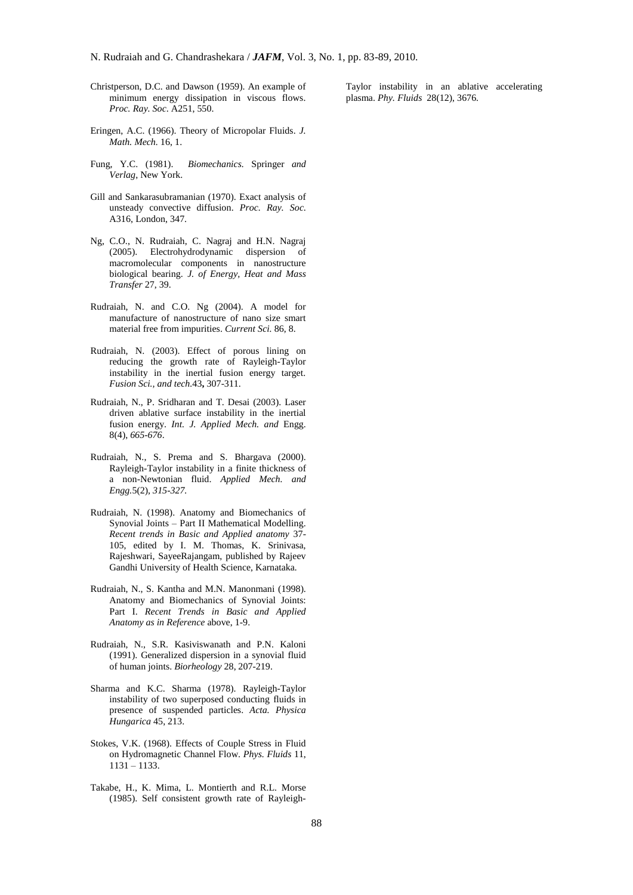- Christperson, D.C. and Dawson (1959). An example of minimum energy dissipation in viscous flows. *Proc. Ray. Soc*. A251, 550.
- Eringen, A.C. (1966). Theory of Micropolar Fluids. *J. Math. Mech.* 16, 1.
- Fung, Y.C. (1981). *Biomechanics.* Springer *and Verlag*, New York.
- Gill and Sankarasubramanian (1970). Exact analysis of unsteady convective diffusion. *Proc. Ray. Soc*. A316, London, 347.
- Ng, C.O., N. Rudraiah, C. Nagraj and H.N. Nagraj (2005). Electrohydrodynamic dispersion of macromolecular components in nanostructure biological bearing. *J. of Energy, Heat and Mass Transfer* 27, 39.
- Rudraiah, N. and C.O. Ng (2004). A model for manufacture of nanostructure of nano size smart material free from impurities. *Current Sci.* 86, 8.
- Rudraiah, N. (2003). Effect of porous lining on reducing the growth rate of Rayleigh-Taylor instability in the inertial fusion energy target. *Fusion Sci., and tech.*43**,** 307-311.
- Rudraiah, N., P. Sridharan and T. Desai (2003). Laser driven ablative surface instability in the inertial fusion energy. *Int. J. Applied Mech. and* Engg. 8(4), *665-676*.
- Rudraiah, N., S. Prema and S. Bhargava (2000). Rayleigh-Taylor instability in a finite thickness of a non-Newtonian fluid. *Applied Mech. and Engg.*5(2), *315-327.*
- Rudraiah, N. (1998). Anatomy and Biomechanics of Synovial Joints – Part II Mathematical Modelling. *Recent trends in Basic and Applied anatomy* 37- 105, edited by I. M. Thomas, K. Srinivasa, Rajeshwari, SayeeRajangam, published by Rajeev Gandhi University of Health Science, Karnataka*.*
- Rudraiah, N., S. Kantha and M.N. Manonmani (1998). Anatomy and Biomechanics of Synovial Joints: Part I. *Recent Trends in Basic and Applied Anatomy as in Reference* above, 1-9.
- Rudraiah, N., S.R. Kasiviswanath and P.N. Kaloni (1991). Generalized dispersion in a synovial fluid of human joints. *Biorheology* 28, 207-219.
- Sharma and K.C. Sharma (1978). Rayleigh-Taylor instability of two superposed conducting fluids in presence of suspended particles. *Acta. Physica Hungarica* 45, 213.
- Stokes, V.K. (1968). Effects of Couple Stress in Fluid on Hydromagnetic Channel Flow. *Phys. Fluids* 11, 1131 – 1133.
- Takabe, H., K. Mima, L. Montierth and R.L. Morse (1985). Self consistent growth rate of Rayleigh-

Taylor instability in an ablative accelerating plasma. *Phy. Fluids* 28(12), 3676.